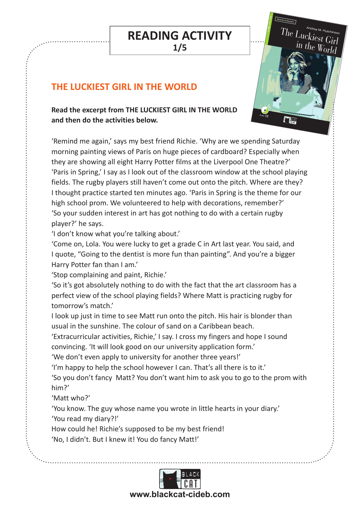#### **READING ACTIVITY 1/5** rugby star Matt to ask her to the prom, but he doesn't even know  $\frac{1}{\sqrt{2\pi}}$ she has a plan that will make  $\frac{1}{\sqrt{2\pi}}$  $\overline{\mathbf{r}}$ in  $\mathbf{u}$ the luckiest girl in being  $\mathbf{r}$  $\mathsf{CTIVITY} \quad \Big\vert$

 $\overline{\phantom{a}}$ 

 $\overline{\phantom{a}}$  and keys at blackcat-cideb.com  $\overline{\phantom{a}}$ 

 $\cdot \cdot$ 

Step Two E

 $The \frac{LuckiesM. Hutchinsor}{The LuckiesU.}$ 

in the World

Lola is fed up with being invisible. All she wants is for high school

 $\frac{1}{\sqrt{2}}$ 

Audio **CD**

 $\frac{1}{\sqrt{2}}$ 

**THE LUCKIEST GIRL IN THE WORLD**  Jil<br>... Step Three CEFR B1.2 Exam Level PET Step Four CEFR B2.1 Exam Preparation FCE Step Five CEFR B2.2 Exam Level FCE

#### Read the excerpt from THE LUCKIEST GIRL IN THE WORLD **and then do the activities below.**

'Remind me again,' says my best friend Richie. 'Why are we spending Saturday morning painting views of Paris on huge pieces of cardboard? Especially when they are showing all eight Harry Potter films at the Liverpool One Theatre?' 'Paris in Spring,' I say as I look out of the classroom window at the school playing fields. The rugby players still haven't come out onto the pitch. Where are they? I thought practice started ten minutes ago. 'Paris in Spring is the theme for our high school prom. We volunteered to help with decorations, remember?' 'So your sudden interest in art has got nothing to do with a certain rugby player?' he says.

'I don't know what you're talking about.'

'Come on, Lola. You were lucky to get a grade C in Art last year. You said, and I quote, "Going to the dentist is more fun than painting". And you're a bigger Harry Potter fan than I am.'

'Stop complaining and paint, Richie.'

'So it's got absolutely nothing to do with the fact that the art classroom has a perfect view of the school playing fields? Where Matt is practicing rugby for tomorrow's match.'

I look up just in time to see Matt run onto the pitch. His hair is blonder than usual in the sunshine. The colour of sand on a Caribbean beach.

'Extracurricular activities, Richie,' I say. I cross my fingers and hope I sound convincing. 'It will look good on our university application form.'

'We don't even apply to university for another three years!'

'I'm happy to help the school however I can. That's all there is to it.'

'So you don't fancy Matt? You don't want him to ask you to go to the prom with him?'

'Matt who?'

'You know. The guy whose name you wrote in little hearts in your diary.' 'You read my diary?!'

How could he! Richie's supposed to be my best friend!

'No, I didn't. But I knew it! You do fancy Matt!'

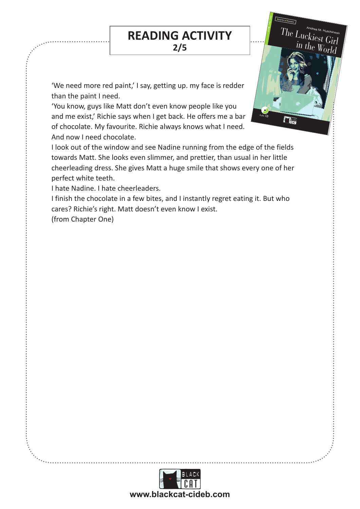#### **READING ACTIVITY 2/5** rugby star Matt to ask her to the prom, but he doesn't even know  $\frac{1}{\sqrt{2\pi}}$ she has a plan that will make  $\frac{1}{\sqrt{2\pi}}$  $\overline{\mathbf{r}}$ in  $\mathbf{u}$ the luckiest girl in being  $\mathbf{r}$  $\mathsf{CTIVITY} \quad \Big\vert$  $\overline{\phantom{a}}$  and keys at blackcat-cideb.com  $\overline{\phantom{a}}$

 $\overline{\phantom{a}}$ 

 $\cdot \cdot$ 

Step Two E

 $The \frac{LuckiesM. Hutchinsor}{The LuckiesU.}$ 

in the World

Lola is fed up with being invisible. All she wants is for high school

 $\frac{1}{\sqrt{2}}$ 

Audio **CD**

**FIELD** 

'We need more red paint,' I say, getting up. my face is redder than the paint I need. than the paint I need.<br>You know, guys like Matt don't even know people like you

and me exist,' Richie says when I get back. He offers me a bar of chocolate. My favourite. Richie always knows what I need. And now I need chocolate. Book + Cd € 8,90

I look out of the window and see Nadine running from the edge of the fields towards Matt. She looks even slimmer, and prettier, than usual in her little cheerleading dress. She gives Matt a huge smile that shows every one of her perfect white teeth.

I hate Nadine. I hate cheerleaders.

I finish the chocolate in a few bites, and I instantly regret eating it. But who cares? Richie's right. Matt doesn't even know I exist.

(from Chapter One)

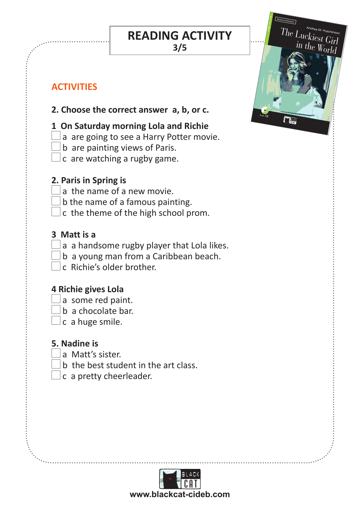**READING ACTIVITY** rugby star Matt to ask her to the prom, but he doesn't even know  $\frac{1}{\sqrt{2\pi}}$ she has a plan that will make  $\frac{1}{\sqrt{2\pi}}$  $\overline{\mathbf{r}}$ in  $\mathbf{u}$ the luckiest girl in being  $\mathbf{r}$  $\mathsf{CTIVITY} \quad \Big\vert$ 

 $\overline{\phantom{a}}$ 

 $\overline{\phantom{a}}$  and keys at blackcat-cideb.com  $\overline{\phantom{a}}$ 

 $\cdot \cdot$ 

Step Two E

 $The \frac{LuckiesM. Hutchinsor}{The LuckiesU.}$ in the  $Wor$ 

Lola is fed up with being invisible. All she wants is for high school

 $\frac{1}{\sqrt{2}}$ 

Audio **CD**

**3/5**

# **ACTIVITIES**

#### **2. Choose the correct answer a, b, or c.**<br>2. Choose the correct answer a, b, or c. ISBN 978-88-530-1550-1 u, w,

### **1 On Saturday morning Lola and Richie**

- $\Box$ a are going to see a Harry Potter movie.
- $\Box$  b are painting views of Paris.
- $\perp$ c are watching a rugby game.

#### **2. Paris in Spring is**

- $\Box$ a the name of a new movie.
- $\Box$  b the name of a famous painting.
- $\Box$  c the theme of the high school prom.

#### **3 Matt is a**

- $\Box$ a a handsome rugby player that Lola likes.
- $\Box$ b a young man from a Caribbean beach.
- c Richie's older brother.

## **4 Richie gives Lola**

- a some red paint.
- $\Box$ b a chocolate bar.
- $\perp$ c a huge smile.

#### **5. Nadine is**

- a Matt's sister.
- $\Box$ b the best student in the art class.
- c a pretty cheerleader.